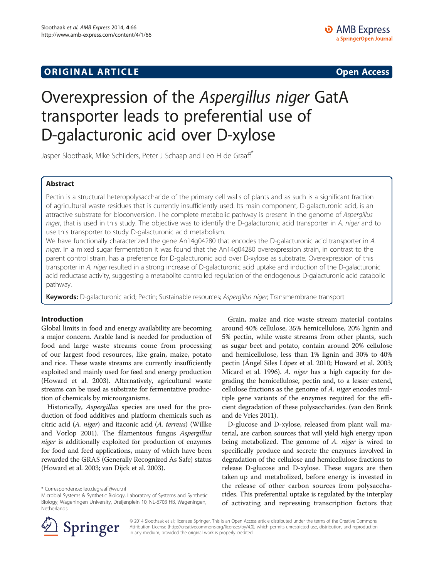# **ORIGINAL ARTICLE CONSERVANCE IN A LOCAL CONSERVANCE IN A LOCAL CONSERVANCE IN A LOCAL CONSERVANCE IN A LOCAL CONSERVANCE IN A LOCAL CONSERVANCE IN A LOCAL CONSERVANCE IN A LOCAL CONSERVANCE IN A LOCAL CONSERVANCE IN A L**

# Overexpression of the Aspergillus niger GatA transporter leads to preferential use of D-galacturonic acid over D-xylose

Jasper Sloothaak, Mike Schilders, Peter J Schaap and Leo H de Graaff

# Abstract

Pectin is a structural heteropolysaccharide of the primary cell walls of plants and as such is a significant fraction of agricultural waste residues that is currently insufficiently used. Its main component, D-galacturonic acid, is an attractive substrate for bioconversion. The complete metabolic pathway is present in the genome of Aspergillus niger, that is used in this study. The objective was to identify the D-galacturonic acid transporter in A. niger and to use this transporter to study D-galacturonic acid metabolism.

We have functionally characterized the gene An14g04280 that encodes the D-galacturonic acid transporter in A. niger. In a mixed sugar fermentation it was found that the An14g04280 overexpression strain, in contrast to the parent control strain, has a preference for D-galacturonic acid over D-xylose as substrate. Overexpression of this transporter in A. niger resulted in a strong increase of D-galacturonic acid uptake and induction of the D-galacturonic acid reductase activity, suggesting a metabolite controlled regulation of the endogenous D-galacturonic acid catabolic pathway.

Keywords: D-galacturonic acid; Pectin; Sustainable resources; Aspergillus niger; Transmembrane transport

# Introduction

Global limits in food and energy availability are becoming a major concern. Arable land is needed for production of food and large waste streams come from processing of our largest food resources, like grain, maize, potato and rice. These waste streams are currently insufficiently exploited and mainly used for feed and energy production (Howard et al. [2003\)](#page-7-0). Alternatively, agricultural waste streams can be used as substrate for fermentative production of chemicals by microorganisms.

Historically, Aspergillus species are used for the production of food additives and platform chemicals such as citric acid (A. niger) and itaconic acid (A. terreus) (Willke and Vorlop [2001\)](#page-8-0). The filamentous fungus Aspergillus niger is additionally exploited for production of enzymes for food and feed applications, many of which have been rewarded the GRAS (Generally Recognized As Safe) status (Howard et al. [2003](#page-7-0); van Dijck et al. [2003](#page-7-0)).

Grain, maize and rice waste stream material contains around 40% cellulose, 35% hemicellulose, 20% lignin and 5% pectin, while waste streams from other plants, such as sugar beet and potato, contain around 20% cellulose and hemicellulose, less than 1% lignin and 30% to 40% pectin (Ángel Siles López et al. [2010](#page-7-0); Howard et al. [2003](#page-7-0); Micard et al. [1996](#page-7-0)). A. niger has a high capacity for degrading the hemicellulose, pectin and, to a lesser extend, cellulose fractions as the genome of A. niger encodes multiple gene variants of the enzymes required for the efficient degradation of these polysaccharides. (van den Brink and de Vries [2011](#page-7-0)).

D-glucose and D-xylose, released from plant wall material, are carbon sources that will yield high energy upon being metabolized. The genome of A. niger is wired to specifically produce and secrete the enzymes involved in degradation of the cellulose and hemicellulose fractions to release D-glucose and D-xylose. These sugars are then taken up and metabolized, before energy is invested in the release of other carbon sources from polysaccharides. This preferential uptake is regulated by the interplay of activating and repressing transcription factors that



© 2014 Sloothaak et al.; licensee Springer. This is an Open Access article distributed under the terms of the Creative Commons Attribution License [\(http://creativecommons.org/licenses/by/4.0\)](http://creativecommons.org/licenses/by/4.0), which permits unrestricted use, distribution, and reproduction in any medium, provided the original work is properly credited.

<sup>\*</sup> Correspondence: [leo.degraaff@wur.nl](mailto:leo.degraaff@wur.nl)

Microbial Systems & Synthetic Biology, Laboratory of Systems and Synthetic Biology, Wageningen University, Dreijenplein 10, NL-6703 HB, Wageningen, Netherlands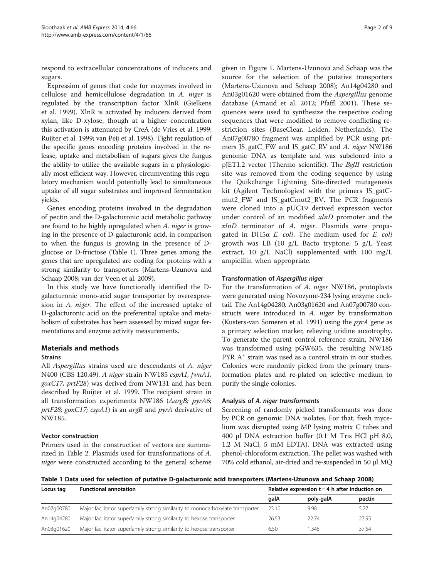respond to extracellular concentrations of inducers and sugars.

Expression of genes that code for enzymes involved in cellulose and hemicellulose degradation in A. niger is regulated by the transcription factor XlnR (Gielkens et al. [1999\)](#page-7-0). XlnR is activated by inducers derived from xylan, like D-xylose, though at a higher concentration this activation is attenuated by CreA (de Vries et al. [1999](#page-7-0); Ruijter et al. [1999](#page-7-0); van Peij et al. [1998](#page-8-0)). Tight regulation of the specific genes encoding proteins involved in the release, uptake and metabolism of sugars gives the fungus the ability to utilize the available sugars in a physiologically most efficient way. However, circumventing this regulatory mechanism would potentially lead to simultaneous uptake of all sugar substrates and improved fermentation yields.

Genes encoding proteins involved in the degradation of pectin and the D-galacturonic acid metabolic pathway are found to be highly upregulated when A. niger is growing in the presence of D-galacturonic acid, in comparison to when the fungus is growing in the presence of Dglucose or D-fructose (Table 1). Three genes among the genes that are upregulated are coding for proteins with a strong similarity to transporters (Martens-Uzunova and Schaap [2008;](#page-7-0) van der Veen et al. [2009](#page-7-0)).

In this study we have functionally identified the Dgalacturonic mono-acid sugar transporter by overexpression in A. niger. The effect of the increased uptake of D-galacturonic acid on the preferential uptake and metabolism of substrates has been assessed by mixed sugar fermentations and enzyme activity measurements.

# Materials and methods

# **Strains**

All Aspergillus strains used are descendants of A. niger N400 (CBS 120.49). A niger strain NW185 cspA1, fwnA1, goxC17, prtF28) was derived from NW131 and has been described by Ruijter et al. [1999](#page-7-0). The recipient strain in all transformation experiments NW186 (ΔargB; pyrA6; prtF28;  $g(x)$ C17;  $c$ spA1) is an argB and pyrA derivative of NW185.

# Vector construction

Primers used in the construction of vectors are summarized in Table [2](#page-2-0). Plasmids used for transformations of A. niger were constructed according to the general scheme

given in Figure [1.](#page-2-0) Martens-Uzunova and Schaap was the source for the selection of the putative transporters (Martens-Uzunova and Schaap [2008](#page-7-0)); An14g04280 and An03g01620 were obtained from the Aspergillus genome database (Arnaud et al. [2012](#page-7-0); Pfaffl [2001](#page-7-0)). These sequences were used to synthesize the respective coding sequences that were modified to remove conflicting restriction sites (BaseClear, Leiden, Netherlands). The An07g00780 fragment was amplified by PCR using primers JS\_gatC\_FW and JS\_gatC\_RV and A. niger NW186 genomic DNA as template and was subcloned into a pJET1.2 vector (Thermo scientific). The BglII restriction site was removed from the coding sequence by using the Quikchange Lightning Site-directed mutagenesis kit (Agilent Technologies) with the primers JS\_gatCmut2\_FW and JS\_gatCmut2\_RV. The PCR fragments were cloned into a pUC19 derived expression vector under control of an modified xlnD promoter and the xlnD terminator of A. niger. Plasmids were propagated in DH5 $\alpha$  E. coli. The medium used for E. coli growth was LB (10 g/L Bacto tryptone, 5 g/L Yeast extract, 10 g/L NaCl) supplemented with 100 mg/L ampicillin when appropriate.

# Transformation of Aspergillus niger

For the transformation of A. niger NW186, protoplasts were generated using Novozyme-234 lysing enzyme cocktail. The An14g04280, An03g01620 and An07g00780 constructs were introduced in A. niger by transformation (Kusters-van Someren et al. [1991](#page-7-0)) using the  $pvrA$  gene as a primary selection marker, relieving uridine auxotrophy. To generate the parent control reference strain, NW186 was transformed using pGW635, the resulting NW185 PYR A<sup>+</sup> strain was used as a control strain in our studies. Colonies were randomly picked from the primary transformation plates and re-plated on selective medium to purify the single colonies.

# Analysis of A. niger transformants

Screening of randomly picked transformants was done by PCR on genomic DNA isolates. For that, fresh mycelium was disrupted using MP lysing matrix C tubes and 400 μl DNA extraction buffer (0.1 M Tris HCl pH 8.0, 1.2 M NaCl, 5 mM EDTA). DNA was extracted using phenol-chloroform extraction. The pellet was washed with 70% cold ethanol, air-dried and re-suspended in 50 μl MQ

Table 1 Data used for selection of putative D-galacturonic acid transporters (Martens-Uzunova and Schaap [2008](#page-7-0))

| Locus tag  | <b>Functional annotation</b>                                                   |       | Relative expression $t = 4$ h after induction on |        |  |
|------------|--------------------------------------------------------------------------------|-------|--------------------------------------------------|--------|--|
|            |                                                                                | aalA  | polv-galA                                        | pectin |  |
| An07q00780 | Major facilitator superfamily strong similarity to monocarboxylate transporter | 23.10 | 9.98                                             | 5.27   |  |
| An14g04280 | Major facilitator superfamily strong similarity to hexose transporter          | 26.53 | 22.74                                            | 27.95  |  |
| An03q01620 | Major facilitator superfamily strong similarity to hexose transporter          | 6.50  | 1.345                                            | 37.54  |  |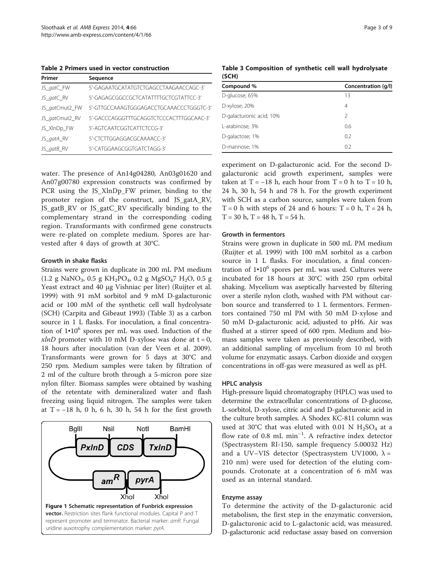<span id="page-2-0"></span>Table 2 Primers used in vector construction

| Primer         | Sequence                                 |
|----------------|------------------------------------------|
| JS_gatC_FW     | 5'-GAGAATGCATATGTCTGAGCCTAAGAACCAGC-3'   |
| JS_gatC_RV     | 5'-GAGAGCGGCCGCTCATATTTTGCTCGTATTCC-3'   |
| JS gatCmut2 FW | 5'-GTTGCCAAAGTGGGAGACCTGCAAACCCTGGGTC-3' |
| JS_gatCmut2_RV | 5'-GACCCAGGGTTTGCAGGTCTCCCACTTTGGCAAC-3' |
| JS XInDp FW    | 5'-AGTCAATCGGTCATTCTCCG-3'               |
| JS_gatA_RV     | 5'-CTCTTGGAGGACGCAAAACC-3'               |
| JS gatB RV     | 5'-CATGGAAGCGGTGATCTAGG-3'               |

water. The presence of An14g04280, An03g01620 and An07g00780 expression constructs was confirmed by PCR using the JS\_XlnDp\_FW primer, binding to the promoter region of the construct, and JS\_gatA\_RV, JS\_gatB\_RV or JS\_gatC\_RV specifically binding to the complementary strand in the corresponding coding region. Transformants with confirmed gene constructs were re-plated on complete medium. Spores are harvested after 4 days of growth at 30°C.

#### Growth in shake flasks

Strains were grown in duplicate in 200 mL PM medium  $(1.2 \text{ g } \text{NaNO}_3, 0.5 \text{ g } \text{KH}_2\text{PO}_4, 0.2 \text{ g } \text{MgSO}_4 \text{7 H}_2\text{O}, 0.5 \text{ g})$ Yeast extract and 40 μg Vishniac per liter) (Ruijter et al. [1999](#page-7-0)) with 91 mM sorbitol and 9 mM D-galacturonic acid or 100 mM of the synthetic cell wall hydrolysate (SCH) (Carpita and Gibeaut [1993](#page-7-0)) (Table 3) as a carbon source in 1 L flasks. For inoculation, a final concentration of  $1 \cdot 10^6$  spores per mL was used. Induction of the  $xlnD$  promoter with 10 mM D-xylose was done at t = 0, 18 hours after inoculation (van der Veen et al. [2009](#page-7-0)). Transformants were grown for 5 days at 30°C and 250 rpm. Medium samples were taken by filtration of 2 ml of the culture broth through a 5-micron pore size nylon filter. Biomass samples were obtained by washing of the retentate with demineralized water and flash freezing using liquid nitrogen. The samples were taken at T =  $-18$  h, 0 h, 6 h, 30 h, 54 h for the first growth



Table 3 Composition of synthetic cell wall hydrolysate (SCH)

| Compound %               | Concentration (g/l) |
|--------------------------|---------------------|
| D-glucose; 65%           | 13                  |
| D-xylose; 20%            | 4                   |
| D-galacturonic acid; 10% | $\mathcal{P}$       |
| L-arabinose; 3%          | 0.6                 |
| D-galactose; 1%          | 0.2                 |
| D-mannose; 1%            | 02                  |

experiment on D-galacturonic acid. For the second Dgalacturonic acid growth experiment, samples were taken at T =  $-18$  h, each hour from T = 0 h to T = 10 h, 24 h, 30 h, 54 h and 78 h. For the growth experiment with SCH as a carbon source, samples were taken from  $T = 0$  h with steps of 24 and 6 hours:  $T = 0$  h,  $T = 24$  h,  $T = 30$  h,  $T = 48$  h,  $T = 54$  h.

#### Growth in fermentors

Strains were grown in duplicate in 500 mL PM medium (Ruijter et al. [1999](#page-7-0)) with 100 mM sorbitol as a carbon source in 1 L flasks. For inoculation, a final concentration of  $1*10^6$  spores per mL was used. Cultures were incubated for 18 hours at 30°C with 250 rpm orbital shaking. Mycelium was aseptically harvested by filtering over a sterile nylon cloth, washed with PM without carbon source and transferred to 1 L fermentors. Fermentors contained 750 ml PM with 50 mM D-xylose and 50 mM D-galacturonic acid, adjusted to pH6. Air was flushed at a stirrer speed of 600 rpm. Medium and biomass samples were taken as previously described, with an additional sampling of mycelium from 10 ml broth volume for enzymatic assays. Carbon dioxide and oxygen concentrations in off-gas were measured as well as pH.

#### HPLC analysis

High-pressure liquid chromatography (HPLC) was used to determine the extracellular concentrations of D-glucose, L-sorbitol, D-xylose, citric acid and D-galacturonic acid in the culture broth samples. A Shodex KC-811 column was used at 30°C that was eluted with 0.01 N  $H_2SO_4$  at a flow rate of 0.8 mL min−<sup>1</sup> . A refractive index detector (Spectrasystem RI-150, sample frequency 5.00032 Hz) and a UV–VIS detector (Spectrasystem UV1000,  $\lambda =$ 210 nm) were used for detection of the eluting compounds. Crotonate at a concentration of 6 mM was used as an internal standard.

#### Enzyme assay

To determine the activity of the D-galacturonic acid metabolism, the first step in the enzymatic conversion, D-galacturonic acid to L-galactonic acid, was measured. D-galacturonic acid reductase assay based on conversion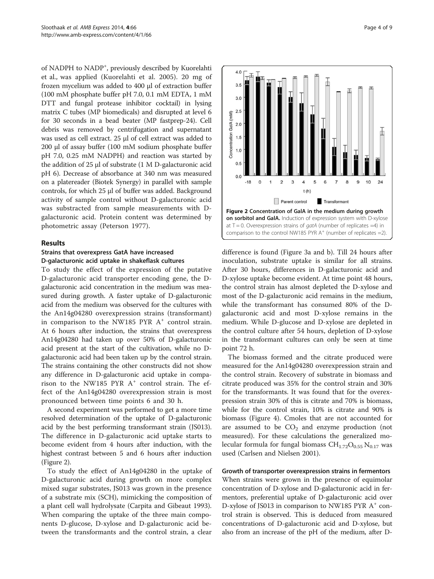of NADPH to NADP<sup>+</sup>, previously described by Kuorelahti et al., was applied (Kuorelahti et al. [2005](#page-7-0)). 20 mg of frozen mycelium was added to 400 μl of extraction buffer (100 mM phosphate buffer pH 7.0, 0.1 mM EDTA, 1 mM DTT and fungal protease inhibitor cocktail) in lysing matrix C tubes (MP biomedicals) and disrupted at level 6 for 30 seconds in a bead beater (MP fastprep-24). Cell debris was removed by centrifugation and supernatant was used as cell extract. 25 μl of cell extract was added to 200 μl of assay buffer (100 mM sodium phosphate buffer pH 7.0, 0.25 mM NADPH) and reaction was started by the addition of 25 μl of substrate (1 M D-galacturonic acid pH 6). Decrease of absorbance at 340 nm was measured on a platereader (Biotek Synergy) in parallel with sample controls, for which 25 μl of buffer was added. Background activity of sample control without D-galacturonic acid was substracted from sample measurements with Dgalacturonic acid. Protein content was determined by photometric assay (Peterson [1977\)](#page-7-0).

#### Results

# Strains that overexpress GatA have increased D-galacturonic acid uptake in shakeflask cultures

To study the effect of the expression of the putative D-galacturonic acid transporter encoding gene, the Dgalacturonic acid concentration in the medium was measured during growth. A faster uptake of D-galacturonic acid from the medium was observed for the cultures with the An14g04280 overexpression strains (transformant) in comparison to the NW185 PYR  $A^+$  control strain. At 6 hours after induction, the strains that overexpress An14g04280 had taken up over 50% of D-galacturonic acid present at the start of the cultivation, while no Dgalacturonic acid had been taken up by the control strain. The strains containing the other constructs did not show any difference in D-galacturonic acid uptake in comparison to the NW185 PYR  $A^+$  control strain. The effect of the An14g04280 overexpression strain is most pronounced between time points 6 and 30 h.

A second experiment was performed to get a more time resolved determination of the uptake of D-galacturonic acid by the best performing transformant strain (JS013). The difference in D-galacturonic acid uptake starts to become evident from 4 hours after induction, with the highest contrast between 5 and 6 hours after induction (Figure 2).

To study the effect of An14g04280 in the uptake of D-galacturonic acid during growth on more complex mixed sugar substrates, JS013 was grown in the presence of a substrate mix (SCH), mimicking the composition of a plant cell wall hydrolysate (Carpita and Gibeaut [1993](#page-7-0)). When comparing the uptake of the three main components D-glucose, D-xylose and D-galacturonic acid between the transformants and the control strain, a clear



GalA (mM)

Concentration

Figure 2 Concentration of GalA in the medium during growth on sorbitol and GalA. Induction of expression system with D-xylose at  $T = 0$ . Overexpression strains of *gatA* (number of replicates =4) in comparison to the control NW185 PYR  $A^+$  (number of replicates =2).

difference is found (Figure [3a](#page-4-0) and b). Till 24 hours after inoculation, substrate uptake is similar for all strains. After 30 hours, differences in D-galacturonic acid and D-xylose uptake become evident. At time point 48 hours, the control strain has almost depleted the D-xylose and most of the D-galacturonic acid remains in the medium, while the transformant has consumed 80% of the Dgalacturonic acid and most D-xylose remains in the medium. While D-glucose and D-xylose are depleted in the control culture after 54 hours, depletion of D-xylose in the transformant cultures can only be seen at time point 72 h.

The biomass formed and the citrate produced were measured for the An14g04280 overexpression strain and the control strain. Recovery of substrate in biomass and citrate produced was 35% for the control strain and 30% for the transformants. It was found that for the overexpression strain 30% of this is citrate and 70% is biomass, while for the control strain, 10% is citrate and 90% is biomass (Figure [4](#page-4-0)). Cmoles that are not accounted for are assumed to be  $CO<sub>2</sub>$  and enzyme production (not measured). For these calculations the generalized molecular formula for fungal biomass  $CH_{1.72}O_{0.55}$  N<sub>0.17</sub> was used (Carlsen and Nielsen [2001](#page-7-0)).

Growth of transporter overexpression strains in fermentors When strains were grown in the presence of equimolar concentration of D-xylose and D-galacturonic acid in fermentors, preferential uptake of D-galacturonic acid over D-xylose of JS013 in comparison to NW185 PYR  $A^+$  control strain is observed. This is deduced from measured concentrations of D-galacturonic acid and D-xylose, but also from an increase of the pH of the medium, after D-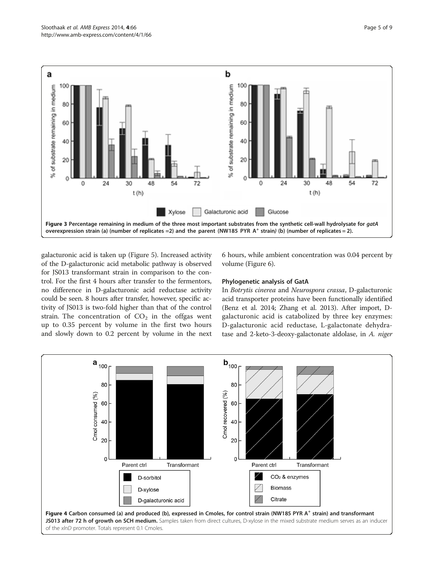<span id="page-4-0"></span>

galacturonic acid is taken up (Figure [5](#page-5-0)). Increased activity of the D-galacturonic acid metabolic pathway is observed for JS013 transformant strain in comparison to the control. For the first 4 hours after transfer to the fermentors, no difference in D-galacturonic acid reductase activity could be seen. 8 hours after transfer, however, specific activity of JS013 is two-fold higher than that of the control strain. The concentration of  $CO<sub>2</sub>$  in the offgas went up to 0.35 percent by volume in the first two hours and slowly down to 0.2 percent by volume in the next 6 hours, while ambient concentration was 0.04 percent by volume (Figure [6\)](#page-5-0).

# Phylogenetic analysis of GatA

In Botrytis cinerea and Neurospora crassa, D-galacturonic acid transporter proteins have been functionally identified (Benz et al. [2014;](#page-7-0) Zhang et al. [2013\)](#page-8-0). After import, Dgalacturonic acid is catabolized by three key enzymes: D-galacturonic acid reductase, L-galactonate dehydratase and 2-keto-3-deoxy-galactonate aldolase, in A. niger

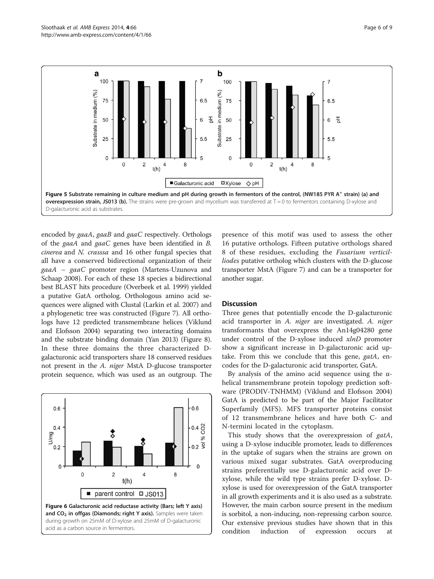<span id="page-5-0"></span>

encoded by gaaA, gaaB and gaaC respectively. Orthologs of the gaaA and gaaC genes have been identified in B. cinerea and N. crasssa and 16 other fungal species that all have a conserved bidirectional organization of their gaaA – gaaC promoter region (Martens-Uzunova and Schaap [2008](#page-7-0)). For each of these 18 species a bidirectional best BLAST hits procedure (Overbeek et al. [1999](#page-7-0)) yielded a putative GatA ortholog. Orthologous amino acid sequences were aligned with Clustal (Larkin et al. [2007\)](#page-7-0) and a phylogenetic tree was constructed (Figure [7\)](#page-6-0). All orthologs have 12 predicted transmembrane helices (Viklund and Elofsson [2004](#page-8-0)) separating two interacting domains and the substrate binding domain (Yan [2013](#page-8-0)) (Figure [8](#page-6-0)). In these three domains the three characterized Dgalacturonic acid transporters share 18 conserved residues not present in the A. niger MstA D-glucose transporter protein sequence, which was used as an outgroup. The



presence of this motif was used to assess the other 16 putative orthologs. Fifteen putative orthologs shared 8 of these residues, excluding the Fusarium verticilliodes putative ortholog which clusters with the D-glucose transporter MstA (Figure [7\)](#page-6-0) and can be a transporter for another sugar.

#### **Discussion**

Three genes that potentially encode the D-galacturonic acid transporter in A. niger are investigated. A. niger transformants that overexpress the An14g04280 gene under control of the D-xylose induced xlnD promoter show a significant increase in D-galacturonic acid uptake. From this we conclude that this gene,  $g \text{at} A$ , encodes for the D-galacturonic acid transporter, GatA.

By analysis of the amino acid sequence using the  $\alpha$ helical transmembrane protein topology prediction software (PRODIV-TNHMM) (Viklund and Elofsson [2004](#page-8-0)) GatA is predicted to be part of the Major Facilitator Superfamily (MFS). MFS transporter proteins consist of 12 transmembrane helices and have both C- and N-termini located in the cytoplasm.

This study shows that the overexpression of gatA, using a D-xylose inducible promoter, leads to differences in the uptake of sugars when the strains are grown on various mixed sugar substrates. GatA overproducing strains preferentially use D-galacturonic acid over Dxylose, while the wild type strains prefer D-xylose. Dxylose is used for overexpression of the GatA transporter in all growth experiments and it is also used as a substrate. However, the main carbon source present in the medium is sorbitol, a non-inducing, non-repressing carbon source. Our extensive previous studies have shown that in this condition induction of expression occurs at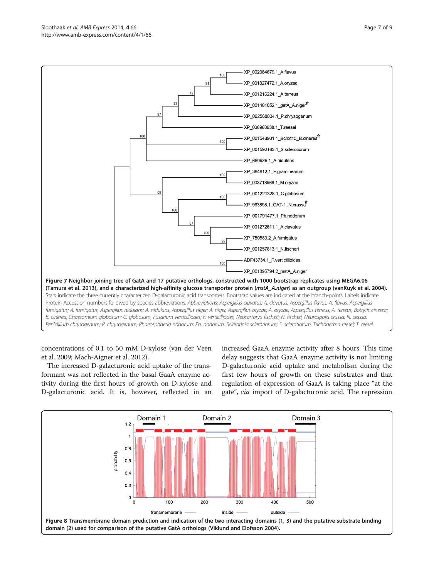<span id="page-6-0"></span>

concentrations of 0.1 to 50 mM D-xylose (van der Veen et al. [2009](#page-7-0); Mach-Aigner et al. [2012](#page-7-0)).

The increased D-galacturonic acid uptake of the transformant was not reflected in the basal GaaA enzyme activity during the first hours of growth on D-xylose and D-galacturonic acid. It is, however, reflected in an increased GaaA enzyme activity after 8 hours. This time delay suggests that GaaA enzyme activity is not limiting D-galacturonic acid uptake and metabolism during the first few hours of growth on these substrates and that regulation of expression of GaaA is taking place "at the gate", via import of D-galacturonic acid. The repression

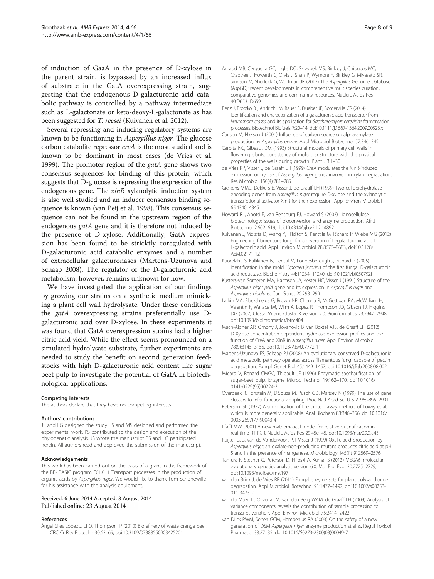<span id="page-7-0"></span>of induction of GaaA in the presence of D-xylose in the parent strain, is bypassed by an increased influx of substrate in the GatA overexpressing strain, suggesting that the endogenous D-galacturonic acid catabolic pathway is controlled by a pathway intermediate such as L-galactonate or keto-deoxy-L-galactonate as has been suggested for T. reesei (Kuivanen et al. 2012).

Several repressing and inducing regulatory systems are known to be functioning in Aspergillus niger. The glucose carbon catabolite repressor creA is the most studied and is known to be dominant in most cases (de Vries et al. 1999). The promoter region of the  $g$ atA gene shows two consensus sequences for binding of this protein, which suggests that D-glucose is repressing the expression of the endogenous gene. The *xlnR* xylanolytic induction system is also well studied and an inducer consensus binding sequence is known (van Peij et al. [1998\)](#page-8-0). This consensus sequence can not be found in the upstream region of the endogenous gatA gene and it is therefore not induced by the presence of D-xylose. Additionally, GatA expression has been found to be stricktly coregulated with D-galacturonic acid catabolic enzymes and a number of extracellular galacturonases (Martens-Uzunova and Schaap 2008). The regulator of the D-galacturonic acid metabolism, however, remains unknown for now.

We have investigated the application of our findings by growing our strains on a synthetic medium mimicking a plant cell wall hydrolysate. Under these conditions the gatA overexpressing strains preferentially use Dgalacturonic acid over D-xylose. In these experiments it was found that GatA overexpression strains had a higher citric acid yield. While the effect seems pronounced on a simulated hydrolysate substrate, further experiments are needed to study the benefit on second generation feedstocks with high D-galacturonic acid content like sugar beet pulp to investigate the potential of GatA in biotechnological applications.

#### Competing interests

The authors declare that they have no competing interests.

#### Authors' contributions

JS and LG designed the study. JS and MS designed and performed the experimental work. PS contributed to the design and execution of the phylogenetic analysis. JS wrote the manuscript PS and LG participated herein. All authors read and approved the submission of the manuscript.

#### Acknowledgements

This work has been carried out on the basis of a grant in the framework of the BE- BASIC program F01.011 Transport processes in the production of organic acids by Aspergillus niger. We would like to thank Tom Schonewille for his assistance with the analysis equipment.

#### Received: 6 June 2014 Accepted: 8 August 2014 Published online: 23 August 2014

#### References

Ángel Siles López J, Li Q, Thompson IP (2010) Biorefinery of waste orange peel. CRC Cr Rev Biotechn 30:63–69, doi:10.3109/07388550903425201

- Arnaud MB, Cerqueira GC, Inglis DO, Skrzypek MS, Binkley J, Chibucos MC, Crabtree J, Howarth C, Orvis J, Shah P, Wymore F, Binkley G, Miyasato SR, Simison M, Sherlock G, Wortman JR (2012) The Aspergillus Genome Database (AspGD): recent developments in comprehensive multispecies curation, comparative genomics and community resources. Nucleic Acids Res 40:D653–D659
- Benz J, Protzko RJ, Andrich JM, Bauer S, Dueber JE, Somerville CR (2014) Identification and characterization of a galacturonic acid transporter from Neurospora crassa and its application for Saccharomyces cerevisiae fermentation processes. Biotechnol Biofuels 7:20–14, doi:10.1111/j.1567-1364.2009.00523.x
- Carlsen M, Nielsen J (2001) Influence of carbon source on alpha-amylase production by Aspergillus oryzae. Appl Microbiol Biotechnol 57:346–349
- Carpita NC, Gibeaut DM (1993) Structural models of primary cell walls in flowering plants: consistency of molecular structure with the physical properties of the walls during growth. Plant J 3:1–30
- de Vries RP, Visser J, de Graaff LH (1999) CreA modulates the XlnR-induced expression on xylose of Aspergillus niger genes involved in xylan degradation. Res Microbiol 150(4):281–285
- Gielkens MMC, Dekkers E, Visser J, de Graaff LH (1999) Two cellobiohydrolaseencoding genes from Aspergillus niger require D-xylose and the xylanolytic transcriptional activator XlnR for their expression. Appl Environ Microbiol 65:4340–4345
- Howard RL, Abotsi E, van Rensburg EJ, Howard S (2003) Lignocellulose biotechnology: issues of bioconversion and enzyme production. Afr J Biotechnol 2:602–619, doi:10.4314/ajb.v2i12.14892
- Kuivanen J, Mojzita D, Wang Y, Hilditch S, Penttila M, Richard P, Wiebe MG (2012) Engineering filamentous fungi for conversion of D-galacturonic acid to L-galactonic acid. Appl Environ Microbiol 78:8676–8683, doi:10.1128/ AEM.02171-12
- Kuorelahti S, Kalkkinen N, Penttil M, Londesborough J, Richard P (2005) Identification in the mold Hypocrea jecorina of the first fungal D-galacturonic acid reductase. Biochemistry 44:11234–11240, doi:10.1021/bi050792f
- Kusters-van Someren MA, Harmsen JA, Kester HC, Visser J (1991) Structure of the Aspergillus niger pelA gene and its expression in Aspergillus niger and Aspergillus nidulans. Curr Genet 20:293–299
- Larkin MA, Blackshields G, Brown NP, Chenna R, McGettigan PA, McWilliam H, Valentin F, Wallace IM, Wilm A, Lopez R, Thompson JD, Gibson TJ, Higgins DG (2007) Clustal W and Clustal X version 2.0. Bioinformatics 23:2947–2948, doi:10.1093/bioinformatics/btm404
- Mach-Aigner AR, Omony J, Jovanovic B, van Boxtel AJB, de Graaff LH (2012) D-Xylose concentration-dependent hydrolase expression profiles and the function of CreA and XlnR in Aspergillus niger. Appl Environ Microbiol 78(9):3145–3155, doi:10.1128/AEM.07772-11
- Martens-Uzunova ES, Schaap PJ (2008) An evolutionary conserved D-galacturonic acid metabolic pathway operates across filamentous fungi capable of pectin degradation. Fungal Genet Biol 45:1449–1457, doi:10.1016/j.fgb.2008.08.002
- Micard V, Renard CMGC, Thibault JF (1996) Enzymatic saccharification of sugar-beet pulp. Enzyme Microb Technol 19:162–170, doi:10.1016/ 0141-0229(95)00224-3
- Overbeek R, Fonstein M, D'Souza M, Pusch GD, Maltsev N (1999) The use of gene clusters to infer functional coupling. Proc Natl Acad Sci U S A 96:2896–2901
- Peterson GL (1977) A simplification of the protein assay method of Lowry et al. which is more generally applicable. Anal Biochem 83:346–356, doi:10.1016/ 0003-2697(77)90043-4
- Pfaffl MW (2001) A new mathematical model for relative quantification in real-time RT-PCR. Nucleic Acids Res 29:45e–45, doi:10.1093/nar/29.9.e45
- Ruijter GJG, van de Vondervoort PJI, Visser J (1999) Oxalic acid production by Aspergillus niger: an oxalate-non-producing mutant produces citric acid at pH 5 and in the presence of manganese. Microbiology 145(Pt 9):2569–2576
- Tamura K, Stecher G, Peterson D, Filipski A, Kumar S (2013) MEGA6: molecular evolutionary genetics analysis version 6.0. Mol Biol Evol 30:2725–2729, doi:10.1093/molbev/mst197
- van den Brink J, de Vries RP (2011) Fungal enzyme sets for plant polysaccharide degradation. Appl Microbiol Biotechnol 91:1477–1492, doi:10.1007/s00253- 011-3473-2
- van der Veen D, Oliveira JM, van den Berg WAM, de Graaff LH (2009) Analysis of variance components reveals the contribution of sample processing to transcript variation. Appl Environ Microbiol 75:2414–2422
- van Dijck PWM, Selten GCM, Hempenius RA (2003) On the safety of a new generation of DSM Aspergillus niger enzyme production strains. Regul Toxicol Pharmacol 38:27–35, doi:10.1016/S0273-2300(03)00049-7